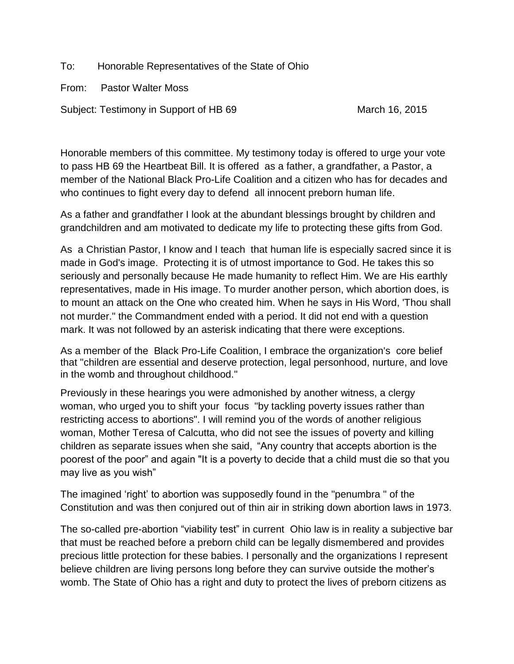To: Honorable Representatives of the State of Ohio

From: Pastor Walter Moss

Subject: Testimony in Support of HB 69 March 16, 2015

Honorable members of this committee. My testimony today is offered to urge your vote to pass HB 69 the Heartbeat Bill. It is offered as a father, a grandfather, a Pastor, a member of the National Black Pro-Life Coalition and a citizen who has for decades and who continues to fight every day to defend all innocent preborn human life.

As a father and grandfather I look at the abundant blessings brought by children and grandchildren and am motivated to dedicate my life to protecting these gifts from God.

As a Christian Pastor, I know and I teach that human life is especially sacred since it is made in God's image. Protecting it is of utmost importance to God. He takes this so seriously and personally because He made humanity to reflect Him. We are His earthly representatives, made in His image. To murder another person, which abortion does, is to mount an attack on the One who created him. When he says in His Word, 'Thou shall not murder." the Commandment ended with a period. It did not end with a question mark. It was not followed by an asterisk indicating that there were exceptions.

As a member of the Black Pro-Life Coalition, I embrace the organization's core belief that "children are essential and deserve protection, legal personhood, nurture, and love in the womb and throughout childhood."

Previously in these hearings you were admonished by another witness, a clergy woman, who urged you to shift your focus "by tackling poverty issues rather than restricting access to abortions". I will remind you of the words of another religious woman, Mother Teresa of Calcutta, who did not see the issues of poverty and killing children as separate issues when she said, "Any country that accepts abortion is the poorest of the poor" and again "It is a poverty to decide that a child must die so that you may live as you wish"

The imagined 'right' to abortion was supposedly found in the "penumbra " of the Constitution and was then conjured out of thin air in striking down abortion laws in 1973.

The so-called pre-abortion "viability test" in current Ohio law is in reality a subjective bar that must be reached before a preborn child can be legally dismembered and provides precious little protection for these babies. I personally and the organizations I represent believe children are living persons long before they can survive outside the mother's womb. The State of Ohio has a right and duty to protect the lives of preborn citizens as